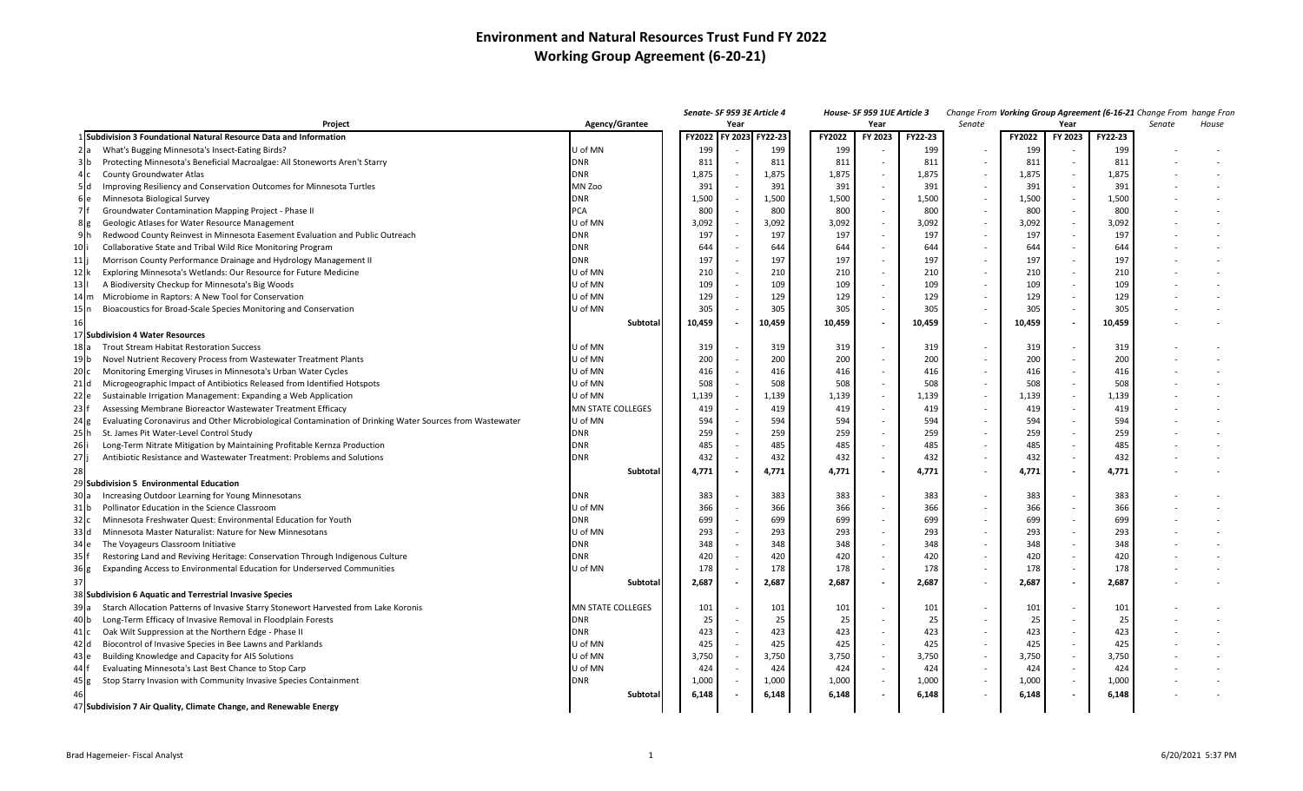## **Environment and Natural Resources Trust Fund FY 2022 Working Group Agreement (6-20-21)**

|                                                                                                                                                                                   |                          |                |      | Senate- SF 959 3E Article 4 |            | House- SF 959 1UE Article 3 |            |                          |            | Change From Vorking Group Agreement (6-16-21 Change From hange Fror |            |        |       |
|-----------------------------------------------------------------------------------------------------------------------------------------------------------------------------------|--------------------------|----------------|------|-----------------------------|------------|-----------------------------|------------|--------------------------|------------|---------------------------------------------------------------------|------------|--------|-------|
| Agency/Grantee<br>Project                                                                                                                                                         |                          |                | Year |                             |            | Year                        |            | Senate                   |            | Year                                                                |            | Senate | House |
| 1 Subdivision 3 Foundational Natural Resource Data and Information                                                                                                                |                          | FY2022 FY 2023 |      | FY22-23                     | FY2022     | FY 2023                     | FY22-23    |                          | FY2022     | FY 2023                                                             | FY22-23    |        |       |
| What's Bugging Minnesota's Insect-Eating Birds?                                                                                                                                   | U of MN                  | 199            |      | 199                         | 199        |                             | 199        |                          | 199        |                                                                     | 199        |        |       |
| 3 <sub>h</sub><br>Protecting Minnesota's Beneficial Macroalgae: All Stoneworts Aren't Starry                                                                                      | DNR                      | 811            |      | 811                         | 811        |                             | 811        |                          | 811        | $\sim$                                                              | 811        |        |       |
| County Groundwater Atlas                                                                                                                                                          | <b>DNR</b>               | 1,875          |      | 1,875                       | 1,875      |                             | 1,875      |                          | 1,875      | $\sim$                                                              | 1,875      |        |       |
| 5d<br>Improving Resiliency and Conservation Outcomes for Minnesota Turtles                                                                                                        | MN Zoo                   | 391            |      | 391                         | 391        |                             | 391        |                          | 391        | $\sim$                                                              | 391        |        |       |
| $6$ e<br>Minnesota Biological Survey                                                                                                                                              | <b>DNR</b>               | 1,500          |      | 1,500                       | 1,500      | $\sim$                      | 1,500      |                          | 1,500      | $\sim$                                                              | 1,500      |        |       |
| 7ŀ<br>Groundwater Contamination Mapping Project - Phase II                                                                                                                        | PCA                      | 800            |      | 800                         | 800        | $\sim$                      | 800        |                          | 800        | $\sim$                                                              | 800        |        |       |
| $8 \leq$<br>Geologic Atlases for Water Resource Management                                                                                                                        | U of MN                  | 3,092          |      | 3,092                       | 3,092      | $\sim$                      | 3,092      |                          | 3,092      | $\sim$                                                              | 3,092      |        |       |
| 9⊪<br>Redwood County Reinvest in Minnesota Easement Evaluation and Public Outreach                                                                                                | <b>DNR</b>               | 197            |      | 197                         | 197        | $\sim$                      | 197        |                          | 197        | $\sim$                                                              | 197        |        |       |
| 10<br>Collaborative State and Tribal Wild Rice Monitoring Program                                                                                                                 | <b>DNR</b>               | 644            |      | 644                         | 644        | $\sim$                      | 644        | $\sim$                   | 644        | $\sim$                                                              | 644        |        |       |
| 11<br>Morrison County Performance Drainage and Hydrology Management II                                                                                                            | <b>DNR</b>               | 197            |      | 197                         | 197        | $\sim$                      | 197        |                          | 197        | $\sim$                                                              | 197        |        |       |
| 12k<br>Exploring Minnesota's Wetlands: Our Resource for Future Medicine                                                                                                           | U of MN                  | 210            |      | 210                         | 210        | $\sim$                      | 210        | $\overline{\phantom{a}}$ | 210        | $\sim$                                                              | 210        |        |       |
| 13<br>A Biodiversity Checkup for Minnesota's Big Woods                                                                                                                            | J of MN                  | 109            |      | 109                         | 109        |                             | 109        |                          | 109        | $\sim$                                                              | 109        |        |       |
| Microbiome in Raptors: A New Tool for Conservation<br>14 $\mathsf{Im}$                                                                                                            | U of MN                  | 129            |      | 129                         | 129        | $\sim$                      | 129        |                          | 129        | $\sim$                                                              | 129        |        |       |
| Bioacoustics for Broad-Scale Species Monitoring and Conservation<br>15 In                                                                                                         | J of MN                  | 305            |      | 305                         | 305        |                             | 305        |                          | 305        | $\sim$                                                              | 305        |        |       |
| 16                                                                                                                                                                                | Subtotal                 | 10,459         |      | 0,459                       | 10,459     |                             | 10,459     |                          | 10,459     | $\overline{\phantom{a}}$                                            | 10,459     |        |       |
| 17 Subdivision 4 Water Resources                                                                                                                                                  |                          |                |      |                             |            |                             |            |                          |            |                                                                     |            |        |       |
| Trout Stream Habitat Restoration Success<br>18 Ia                                                                                                                                 | U of MN                  | 319            |      | 319                         | 319        |                             | 319        |                          | 319        | $\sim$                                                              | 319        |        |       |
| 19 b<br>Novel Nutrient Recovery Process from Wastewater Treatment Plants                                                                                                          | J of MN                  | 200            |      | 200                         | 200        |                             | 200        |                          | 200        | $\sim$                                                              | 200        |        |       |
| 20c<br>Monitoring Emerging Viruses in Minnesota's Urban Water Cycles                                                                                                              | U of MN                  | 416            |      | 416                         | 416        |                             | 416        |                          | 416        | $\sim$                                                              | 416        |        |       |
| $21$ d<br>Microgeographic Impact of Antibiotics Released from Identified Hotspots                                                                                                 | U of MN                  | 508            |      | 508                         | 508        | $\sim$                      | 508        |                          | 508        | $\sim$                                                              | 508        |        |       |
| $22$ e<br>Sustainable Irrigation Management: Expanding a Web Application                                                                                                          | U of MN                  | 1,139          |      | 1,139                       | 1,139      | $\sim$                      | 1,139      |                          | 1,139      | $\sim$                                                              | 1,139      |        |       |
| 23<br>Assessing Membrane Bioreactor Wastewater Treatment Efficacy                                                                                                                 | <b>MN STATE COLLEGES</b> | 419            |      | 419                         | 419        | $\sim$                      | 419        |                          | 419        | $\sim$                                                              | 419        |        |       |
| 24g<br>Evaluating Coronavirus and Other Microbiological Contamination of Drinking Water Sources from Wastewater                                                                   | U of MN                  | 594            |      | 594                         | 594        | $\sim$                      | 594        |                          | 594        | $\sim$                                                              | 594        |        |       |
| 25<br>St. James Pit Water-Level Control Study                                                                                                                                     | <b>DNR</b>               | 259            |      | 259                         | 259        | $\sim$                      | 259        |                          | 259        | $\sim$                                                              | 259        |        |       |
| 26<br>Long-Term Nitrate Mitigation by Maintaining Profitable Kernza Production                                                                                                    | <b>DNR</b>               | 485            |      | 485                         | 485        | $\sim$                      | 485        |                          | 485        | $\sim$                                                              | 485        |        |       |
| 27<br>Antibiotic Resistance and Wastewater Treatment: Problems and Solutions                                                                                                      | <b>DNR</b>               | 432            |      | 432                         | 432        | $\sim$                      | 432        | $\sim$                   | 432        | $\sim$                                                              | 432        |        |       |
|                                                                                                                                                                                   |                          |                |      | 4,771                       | 4,771      |                             | 4,771      |                          |            | $\overline{a}$                                                      | 4,771      |        |       |
|                                                                                                                                                                                   | Subtotal                 | 4,771          |      |                             |            |                             |            |                          | 4,771      |                                                                     |            |        |       |
| 29 Subdivision 5 Environmental Education                                                                                                                                          |                          |                |      | 383                         |            |                             |            |                          |            |                                                                     |            |        |       |
| Increasing Outdoor Learning for Young Minnesotans<br>30 a                                                                                                                         | DNR                      | 383            |      |                             | 383        |                             | 383        |                          | 383        | $\sim$<br>$\sim$                                                    | 383        |        |       |
| $31$ b<br>Pollinator Education in the Science Classroom                                                                                                                           | U of MN                  | 366            |      | 366                         | 366        |                             | 366        |                          | 366        |                                                                     | 366        |        |       |
| 32 <sub>c</sub><br>Minnesota Freshwater Quest: Environmental Education for Youth                                                                                                  | <b>DNR</b><br>U of MN    | 699            |      | 699<br>293                  | 699        |                             | 699        |                          | 699        | $\sim$<br>$\sim$                                                    | 699<br>293 |        |       |
| 33 d<br>Minnesota Master Naturalist: Nature for New Minnesotans<br>34 le                                                                                                          | <b>DNR</b>               | 293<br>348     |      | 348                         | 293<br>348 |                             | 293<br>348 |                          | 293<br>348 | $\sim$                                                              | 348        |        |       |
| The Voyageurs Classroom Initiative                                                                                                                                                | DNR                      |                |      | 420                         |            |                             |            |                          |            | $\sim$                                                              |            |        |       |
| 35<br>Restoring Land and Reviving Heritage: Conservation Through Indigenous Culture<br>36 <sub>g</sub><br>Expanding Access to Environmental Education for Underserved Communities | U of MN                  | 420<br>178     |      | 178                         | 420<br>178 |                             | 420<br>178 |                          | 420<br>178 | $\sim$                                                              | 420<br>178 |        |       |
|                                                                                                                                                                                   |                          |                |      |                             |            |                             |            |                          |            |                                                                     |            |        |       |
|                                                                                                                                                                                   | Subtotal                 | 2,687          |      | 2,687                       | 2,687      | $\overline{\phantom{a}}$    | 2,687      | $\sim$                   | 2,687      | $\overline{\phantom{a}}$                                            | 2,687      |        |       |
| 38 Subdivision 6 Aquatic and Terrestrial Invasive Species                                                                                                                         |                          |                |      |                             |            |                             |            |                          |            |                                                                     |            |        |       |
| Starch Allocation Patterns of Invasive Starry Stonewort Harvested from Lake Koronis<br>39a                                                                                        | <b>MN STATE COLLEGES</b> | 101            |      | 101                         | 101        |                             | 101        |                          | 101        | $\sim$                                                              | 101        |        |       |
| 40 b<br>Long-Term Efficacy of Invasive Removal in Floodplain Forests                                                                                                              | <b>DNR</b>               | 25             |      | 25                          | 25         |                             | 25         |                          | 25         | $\sim$                                                              | 25         |        |       |
| Oak Wilt Suppression at the Northern Edge - Phase II<br>41 Ic                                                                                                                     | <b>DNR</b>               | 423            |      | 423                         | 423        | $\sim$                      | 423        |                          | 423        | $\sim$                                                              | 423        |        |       |
| Biocontrol of Invasive Species in Bee Lawns and Parklands<br>$42$ Id                                                                                                              | U of MN                  | 425            |      | 425                         | 425        | $\sim$                      | 425        |                          | 425        | $\sim$                                                              | 425        |        |       |
| Building Knowledge and Capacity for AIS Solutions<br>43 le                                                                                                                        | U of MN                  | 3,750          |      | 3,750                       | 3,750      |                             | 3,750      |                          | 3,750      | $\sim$                                                              | 3,750      |        |       |
| 44 If<br>Evaluating Minnesota's Last Best Chance to Stop Carp                                                                                                                     | U of MN                  | 424            |      | 424                         | 424        |                             | 424        |                          | 424        | $\sim$                                                              | 424        |        |       |
| Stop Starry Invasion with Community Invasive Species Containment<br>45 g                                                                                                          | <b>DNR</b>               | 1,000          |      | 1,000                       | 1,000      |                             | 1,000      |                          | 1,000      | $\sim$                                                              | 1,000      |        |       |
| 46                                                                                                                                                                                | Subtotal                 | 6,148          |      | 6,148                       | 6,148      |                             | 6,148      |                          | 6,148      | $\overline{\phantom{a}}$                                            | 6,148      |        |       |
| 47 Subdivision 7 Air Quality, Climate Change, and Renewable Energy                                                                                                                |                          |                |      |                             |            |                             |            |                          |            |                                                                     |            |        |       |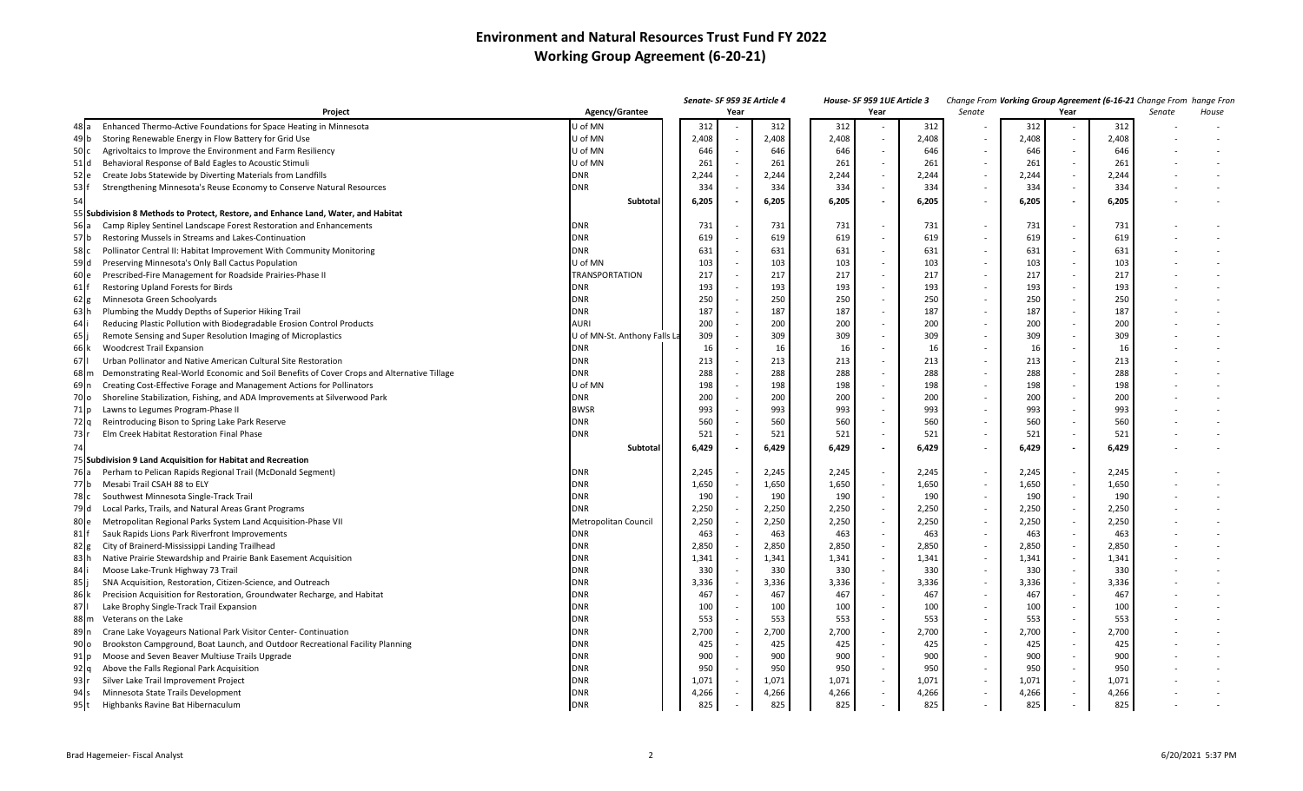## **Environment and Natural Resources Trust Fund FY 2022 Working Group Agreement (6-20-21)**

|                         |                                                                                            |                              |       |      | Senate- SF 959 3E Article 4 |       | House- SF 959 1UE Article 3 |       |        |       |        | Change From Vorking Group Agreement (6-16-21 Change From hange Fron |        |       |
|-------------------------|--------------------------------------------------------------------------------------------|------------------------------|-------|------|-----------------------------|-------|-----------------------------|-------|--------|-------|--------|---------------------------------------------------------------------|--------|-------|
|                         | Project                                                                                    | Agency/Grantee               |       | Year |                             |       | Year                        |       | Senate |       | Year   |                                                                     | Senate | House |
| 48 la                   | Enhanced Thermo-Active Foundations for Space Heating in Minnesota                          | J of MN                      | 312   |      | 312                         | 312   |                             | 312   |        | 312   |        | 312                                                                 |        |       |
| 49 b                    | Storing Renewable Energy in Flow Battery for Grid Use                                      | U of MN                      | 2,408 |      | 2,408                       | 2,408 |                             | 2,408 |        | 2,408 | $\sim$ | 2,408                                                               |        |       |
| 50C                     | Agrivoltaics to Improve the Environment and Farm Resiliency                                | U of MN                      | 646   |      | 646                         | 646   |                             | 646   |        | 646   | $\sim$ | 646                                                                 |        |       |
| 51 d                    | Behavioral Response of Bald Eagles to Acoustic Stimuli                                     | U of MN                      | 261   |      | 261                         | 261   |                             | 261   |        | 261   | $\sim$ | 261                                                                 |        |       |
| $52$ e                  | Create Jobs Statewide by Diverting Materials from Landfills                                | <b>DNR</b>                   | 2,244 |      | 2,244                       | 2,244 |                             | 2,244 |        | 2,244 | $\sim$ | 2,244                                                               |        |       |
| $53$ f                  | Strengthening Minnesota's Reuse Economy to Conserve Natural Resources                      | <b>DNR</b>                   | 334   |      | 334                         | 334   |                             | 334   |        | 334   | $\sim$ | 334                                                                 |        |       |
| 54                      |                                                                                            | Subtotal                     | 6,205 |      | 6,205                       | 6,205 |                             | 6,205 |        | 6,205 | $\sim$ | 6,205                                                               |        |       |
|                         | 55 Subdivision 8 Methods to Protect, Restore, and Enhance Land, Water, and Habitat         |                              |       |      |                             |       |                             |       |        |       |        |                                                                     |        |       |
| 56 a                    | Camp Ripley Sentinel Landscape Forest Restoration and Enhancements                         | <b>DNR</b>                   | 731   |      | 731                         | 731   | $\sim$                      | 731   |        | 731   | $\sim$ | 731                                                                 |        |       |
| 57 b                    | Restoring Mussels in Streams and Lakes-Continuation                                        | <b>DNR</b>                   | 619   |      | 619                         | 619   | $\sim$                      | 619   |        | 619   | $\sim$ | 619                                                                 |        |       |
| 58 c                    | Pollinator Central II: Habitat Improvement With Community Monitoring                       | <b>DNR</b>                   | 631   |      | 631                         | 631   |                             | 631   |        | 631   | $\sim$ | 631                                                                 |        |       |
| 59 d                    | Preserving Minnesota's Only Ball Cactus Populatior                                         | U of MN                      | 103   |      | 103                         | 103   | $\sim$                      | 103   |        | 103   | $\sim$ | 103                                                                 |        |       |
| 60 e                    | Prescribed-Fire Management for Roadside Prairies-Phase II                                  | <b>TRANSPORTATION</b>        | 217   |      | 217                         | 217   | $\sim$                      | 217   |        | 217   | $\sim$ | 217                                                                 |        |       |
| 61                      | Restoring Upland Forests for Birds                                                         | <b>DNR</b>                   | 193   |      | 193                         | 193   |                             | 193   |        | 193   | $\sim$ | 193                                                                 |        |       |
| $62 \text{ g}$          | Minnesota Green Schoolyards                                                                | <b>DNR</b>                   | 250   |      | 250                         | 250   |                             | 250   |        | 250   | $\sim$ | 250                                                                 |        |       |
| 63 h                    | Plumbing the Muddy Depths of Superior Hiking Trail                                         | <b>DNR</b>                   | 187   |      | 187                         | 187   | $\sim$                      | 187   |        | 187   | $\sim$ | 187                                                                 |        |       |
| 64 i                    | Reducing Plastic Pollution with Biodegradable Erosion Control Products                     | AURI                         | 200   |      | 200                         | 200   |                             | 200   |        | 200   | $\sim$ | 200                                                                 |        |       |
| $65$ li                 | Remote Sensing and Super Resolution Imaging of Microplastics                               | U of MN-St. Anthony Falls La | 309   |      | 309                         | 309   |                             | 309   |        | 309   | $\sim$ | 309                                                                 |        |       |
| 66 k                    | <b>Woodcrest Trail Expansion</b>                                                           | DNR                          | 16    |      | 16                          | 16    |                             | 16    |        | 16    | $\sim$ | 16                                                                  |        |       |
| 67 I                    | Urban Pollinator and Native American Cultural Site Restoration                             | <b>DNR</b>                   | 213   |      | 213                         | 213   |                             | 213   |        | 213   | $\sim$ | 213                                                                 |        |       |
| $68 \, \mathrm{m}$      | Demonstrating Real-World Economic and Soil Benefits of Cover Crops and Alternative Tillage | <b>DNR</b>                   | 288   |      | 288                         | 288   |                             | 288   |        | 288   | $\sim$ | 288                                                                 |        |       |
| 69 n                    | Creating Cost-Effective Forage and Management Actions for Pollinators                      | U of MN                      | 198   |      | 198                         | 198   |                             | 198   |        | 198   | $\sim$ | 198                                                                 |        |       |
| 70 lo                   | Shoreline Stabilization, Fishing, and ADA Improvements at Silverwood Park                  | <b>DNR</b>                   | 200   |      | 200                         | 200   |                             | 200   |        | 200   | $\sim$ | 200                                                                 |        |       |
|                         |                                                                                            | <b>BWSR</b>                  | 993   |      | 993                         | 993   |                             | 993   |        | 993   | $\sim$ | 993                                                                 |        |       |
| 71 p<br>72 <sub>q</sub> | Lawns to Legumes Program-Phase II                                                          | <b>DNR</b>                   | 560   |      | 560                         | 560   |                             | 560   |        | 560   | $\sim$ | 560                                                                 |        |       |
|                         | Reintroducing Bison to Spring Lake Park Reserve                                            |                              | 521   |      | 521                         | 521   |                             | 521   |        | 521   | $\sim$ | 521                                                                 |        |       |
| 73 r                    | Elm Creek Habitat Restoration Final Phase                                                  | <b>DNR</b>                   |       |      |                             |       |                             |       |        |       |        |                                                                     |        |       |
| 74                      |                                                                                            | Subtotal                     | 6,429 |      | 6,429                       | 6,429 | $\overline{\phantom{a}}$    | 6,429 |        | 6,429 | $\sim$ | 6,429                                                               |        |       |
|                         | 75 Subdivision 9 Land Acquisition for Habitat and Recreation                               |                              |       |      |                             |       |                             |       |        |       |        |                                                                     |        |       |
| 76 a                    | Perham to Pelican Rapids Regional Trail (McDonald Segment)                                 | <b>DNR</b>                   | 2,245 |      | 2,245                       | 2,245 |                             | 2,245 |        | 2,245 | $\sim$ | 2,245                                                               |        |       |
| 77 b                    | Mesabi Trail CSAH 88 to ELY                                                                | <b>DNR</b>                   | 1,650 |      | 1,650                       | 1,650 | $\sim$                      | 1,650 |        | 1,650 | $\sim$ | 1,650                                                               |        |       |
| 78 c                    | Southwest Minnesota Single-Track Trail                                                     | <b>DNR</b>                   | 190   |      | 190                         | 190   | $\sim$                      | 190   |        | 190   | $\sim$ | 190                                                                 |        |       |
| 79 d                    | Local Parks, Trails, and Natural Areas Grant Programs                                      | <b>DNR</b>                   | 2,250 |      | 2,250                       | 2,250 | $\sim$                      | 2,250 |        | 2,250 | $\sim$ | 2,250                                                               |        |       |
| 80 le                   | Metropolitan Regional Parks System Land Acquisition-Phase VII                              | Metropolitan Council         | 2,250 |      | 2,250                       | 2,250 | $\sim$                      | 2,250 |        | 2,250 | $\sim$ | 2,250                                                               |        |       |
| $81$ f                  | Sauk Rapids Lions Park Riverfront Improvements                                             | <b>DNR</b>                   | 463   |      | 463                         | 463   |                             | 463   |        | 463   | $\sim$ | 463                                                                 |        |       |
| $82$ g                  | City of Brainerd-Mississippi Landing Trailhead                                             | <b>DNR</b>                   | 2,850 |      | 2,850                       | 2,850 |                             | 2,850 |        | 2,850 | $\sim$ | 2,850                                                               |        |       |
| 83 h                    | Native Prairie Stewardship and Prairie Bank Easement Acquisition                           | <b>DNR</b>                   | 1,341 |      | 1,341                       | 1,341 | $\sim$                      | 1,341 |        | 1,341 | $\sim$ | 1,341                                                               |        |       |
| 84 i                    | Moose Lake-Trunk Highway 73 Trail                                                          | <b>DNR</b>                   | 330   |      | 330                         | 330   |                             | 330   |        | 330   | $\sim$ | 330                                                                 |        |       |
| 85                      | SNA Acquisition, Restoration, Citizen-Science, and Outreach                                | <b>DNR</b>                   | 3,336 |      | 3,336                       | 3,336 | $\sim$                      | 3,336 |        | 3,336 | $\sim$ | 3,336                                                               |        |       |
| 86 k                    | Precision Acquisition for Restoration, Groundwater Recharge, and Habitat                   | <b>DNR</b>                   | 467   |      | 467                         | 467   |                             | 467   |        | 467   | $\sim$ | 467                                                                 |        |       |
| 871                     | Lake Brophy Single-Track Trail Expansion                                                   | <b>DNR</b>                   | 100   |      | 100                         | 100   |                             | 100   |        | 100   | $\sim$ | 100                                                                 |        |       |
| 88 m                    | Veterans on the Lake                                                                       | <b>DNR</b>                   | 553   |      | 553                         | 553   |                             | 553   |        | 553   | $\sim$ | 553                                                                 |        |       |
| 89 n                    | Crane Lake Voyageurs National Park Visitor Center- Continuation                            | <b>DNR</b>                   | 2,700 |      | 2,700                       | 2,700 |                             | 2,700 |        | 2,700 | $\sim$ | 2,700                                                               |        |       |
| 90 <sub>o</sub>         | Brookston Campground, Boat Launch, and Outdoor Recreational Facility Planning              | <b>DNR</b>                   | 425   |      | 425                         | 425   |                             | 425   |        | 425   | $\sim$ | 425                                                                 |        |       |
| $91$ p                  | Moose and Seven Beaver Multiuse Trails Upgrade                                             | <b>DNR</b>                   | 900   |      | 900                         | 900   |                             | 900   |        | 900   | $\sim$ | 900                                                                 |        |       |
| $92$ q                  | Above the Falls Regional Park Acquisition                                                  | <b>DNR</b>                   | 950   |      | 950                         | 950   |                             | 950   |        | 950   | $\sim$ | 950                                                                 |        |       |
| 93 r                    | Silver Lake Trail Improvement Project                                                      | <b>DNR</b>                   | 1,071 |      | 1,071                       | 1,071 |                             | 1,071 |        | 1,071 | $\sim$ | 1,071                                                               |        |       |
| 94 s                    | Minnesota State Trails Development                                                         | <b>DNR</b>                   | 4,266 |      | 4,266                       | 4,266 |                             | 4,266 |        | 4,266 | $\sim$ | 4,266                                                               |        |       |
| 95 t                    | Highbanks Ravine Bat Hibernaculum                                                          | <b>DNR</b>                   | 825   |      | 825                         | 825   |                             | 825   |        | 825   | $\sim$ | 825                                                                 |        |       |